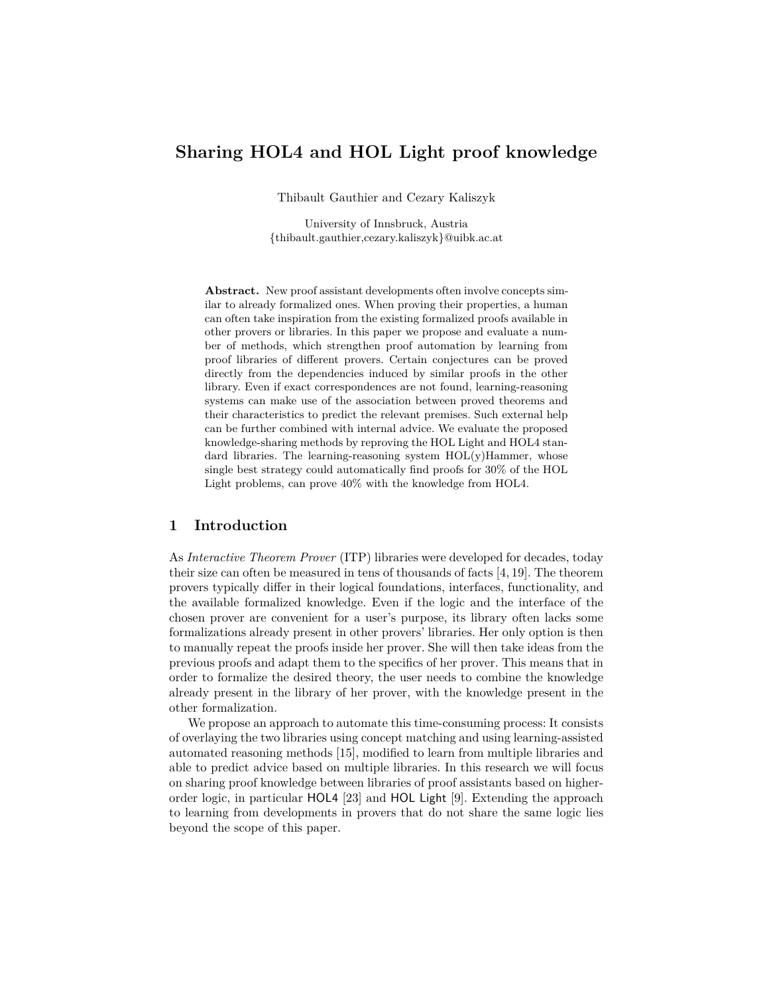# **Sharing HOL4 and HOL Light proof knowledge**

Thibault Gauthier and Cezary Kaliszyk

University of Innsbruck, Austria {thibault.gauthier,cezary.kaliszyk}@uibk.ac.at

**Abstract.** New proof assistant developments often involve concepts similar to already formalized ones. When proving their properties, a human can often take inspiration from the existing formalized proofs available in other provers or libraries. In this paper we propose and evaluate a number of methods, which strengthen proof automation by learning from proof libraries of different provers. Certain conjectures can be proved directly from the dependencies induced by similar proofs in the other library. Even if exact correspondences are not found, learning-reasoning systems can make use of the association between proved theorems and their characteristics to predict the relevant premises. Such external help can be further combined with internal advice. We evaluate the proposed knowledge-sharing methods by reproving the HOL Light and HOL4 standard libraries. The learning-reasoning system  $HOL(y)$ Hammer, whose single best strategy could automatically find proofs for 30% of the HOL Light problems, can prove 40% with the knowledge from HOL4.

## **1 Introduction**

As *Interactive Theorem Prover* (ITP) libraries were developed for decades, today their size can often be measured in tens of thousands of facts [4, 19]. The theorem provers typically differ in their logical foundations, interfaces, functionality, and the available formalized knowledge. Even if the logic and the interface of the chosen prover are convenient for a user's purpose, its library often lacks some formalizations already present in other provers' libraries. Her only option is then to manually repeat the proofs inside her prover. She will then take ideas from the previous proofs and adapt them to the specifics of her prover. This means that in order to formalize the desired theory, the user needs to combine the knowledge already present in the library of her prover, with the knowledge present in the other formalization.

We propose an approach to automate this time-consuming process: It consists of overlaying the two libraries using concept matching and using learning-assisted automated reasoning methods [15], modified to learn from multiple libraries and able to predict advice based on multiple libraries. In this research we will focus on sharing proof knowledge between libraries of proof assistants based on higherorder logic, in particular HOL4 [23] and HOL Light [9]. Extending the approach to learning from developments in provers that do not share the same logic lies beyond the scope of this paper.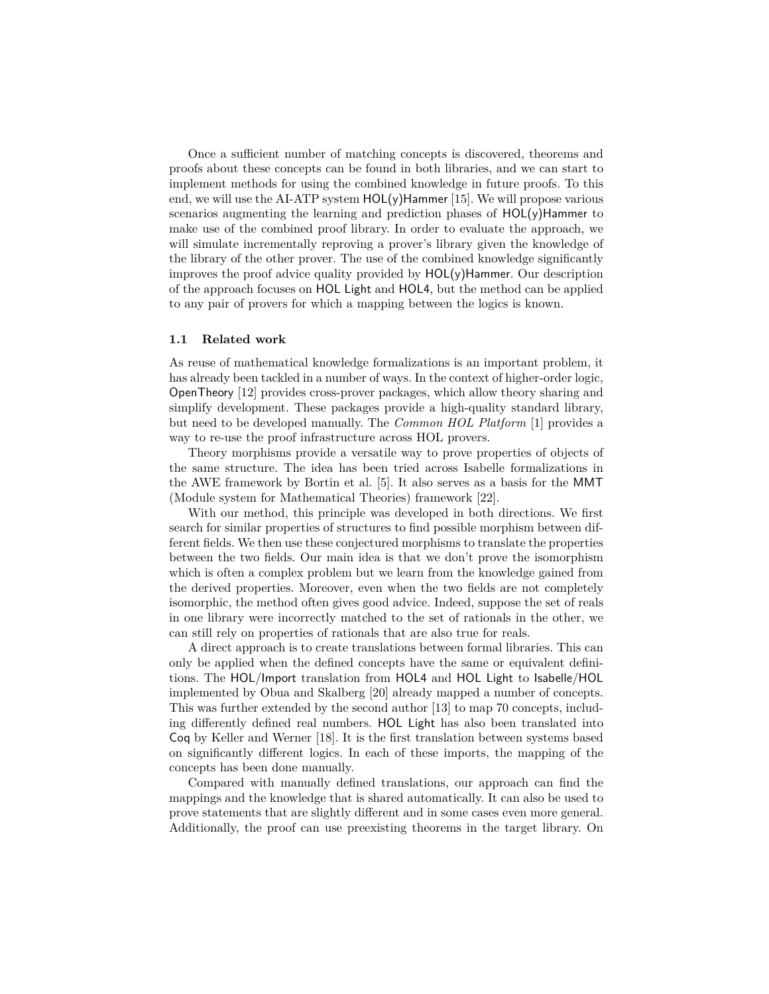Once a sufficient number of matching concepts is discovered, theorems and proofs about these concepts can be found in both libraries, and we can start to implement methods for using the combined knowledge in future proofs. To this end, we will use the AI-ATP system  $HOL(y)$ Hammer [15]. We will propose various scenarios augmenting the learning and prediction phases of  $HOL(y)$ Hammer to make use of the combined proof library. In order to evaluate the approach, we will simulate incrementally reproving a prover's library given the knowledge of the library of the other prover. The use of the combined knowledge significantly improves the proof advice quality provided by  $HOL(y)$ Hammer. Our description of the approach focuses on HOL Light and HOL4, but the method can be applied to any pair of provers for which a mapping between the logics is known.

#### **1.1 Related work**

As reuse of mathematical knowledge formalizations is an important problem, it has already been tackled in a number of ways. In the context of higher-order logic, OpenTheory [12] provides cross-prover packages, which allow theory sharing and simplify development. These packages provide a high-quality standard library, but need to be developed manually. The *Common HOL Platform* [1] provides a way to re-use the proof infrastructure across HOL provers.

Theory morphisms provide a versatile way to prove properties of objects of the same structure. The idea has been tried across Isabelle formalizations in the AWE framework by Bortin et al. [5]. It also serves as a basis for the MMT (Module system for Mathematical Theories) framework [22].

With our method, this principle was developed in both directions. We first search for similar properties of structures to find possible morphism between different fields. We then use these conjectured morphisms to translate the properties between the two fields. Our main idea is that we don't prove the isomorphism which is often a complex problem but we learn from the knowledge gained from the derived properties. Moreover, even when the two fields are not completely isomorphic, the method often gives good advice. Indeed, suppose the set of reals in one library were incorrectly matched to the set of rationals in the other, we can still rely on properties of rationals that are also true for reals.

A direct approach is to create translations between formal libraries. This can only be applied when the defined concepts have the same or equivalent definitions. The HOL/Import translation from HOL4 and HOL Light to Isabelle/HOL implemented by Obua and Skalberg [20] already mapped a number of concepts. This was further extended by the second author [13] to map 70 concepts, including differently defined real numbers. HOL Light has also been translated into Coq by Keller and Werner [18]. It is the first translation between systems based on significantly different logics. In each of these imports, the mapping of the concepts has been done manually.

Compared with manually defined translations, our approach can find the mappings and the knowledge that is shared automatically. It can also be used to prove statements that are slightly different and in some cases even more general. Additionally, the proof can use preexisting theorems in the target library. On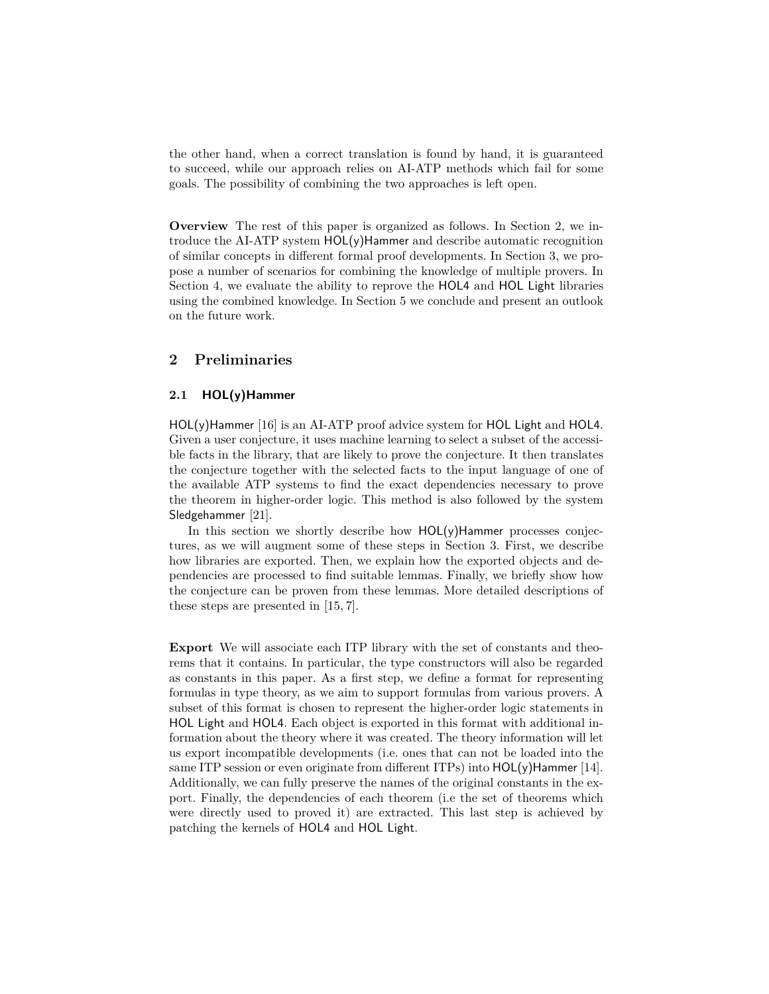the other hand, when a correct translation is found by hand, it is guaranteed to succeed, while our approach relies on AI-ATP methods which fail for some goals. The possibility of combining the two approaches is left open.

**Overview** The rest of this paper is organized as follows. In Section 2, we introduce the AI-ATP system HOL(y)Hammer and describe automatic recognition of similar concepts in different formal proof developments. In Section 3, we propose a number of scenarios for combining the knowledge of multiple provers. In Section 4, we evaluate the ability to reprove the HOL4 and HOL Light libraries using the combined knowledge. In Section 5 we conclude and present an outlook on the future work.

## **2 Preliminaries**

## **2.1 HOL(y)Hammer**

HOL(y)Hammer [16] is an AI-ATP proof advice system for HOL Light and HOL4. Given a user conjecture, it uses machine learning to select a subset of the accessible facts in the library, that are likely to prove the conjecture. It then translates the conjecture together with the selected facts to the input language of one of the available ATP systems to find the exact dependencies necessary to prove the theorem in higher-order logic. This method is also followed by the system Sledgehammer [21].

In this section we shortly describe how  $HOL(y)$ Hammer processes conjectures, as we will augment some of these steps in Section 3. First, we describe how libraries are exported. Then, we explain how the exported objects and dependencies are processed to find suitable lemmas. Finally, we briefly show how the conjecture can be proven from these lemmas. More detailed descriptions of these steps are presented in [15, 7].

**Export** We will associate each ITP library with the set of constants and theorems that it contains. In particular, the type constructors will also be regarded as constants in this paper. As a first step, we define a format for representing formulas in type theory, as we aim to support formulas from various provers. A subset of this format is chosen to represent the higher-order logic statements in HOL Light and HOL4. Each object is exported in this format with additional information about the theory where it was created. The theory information will let us export incompatible developments (i.e. ones that can not be loaded into the same ITP session or even originate from different ITPs) into  $HOL(y)$ Hammer [14]. Additionally, we can fully preserve the names of the original constants in the export. Finally, the dependencies of each theorem (i.e the set of theorems which were directly used to proved it) are extracted. This last step is achieved by patching the kernels of HOL4 and HOL Light.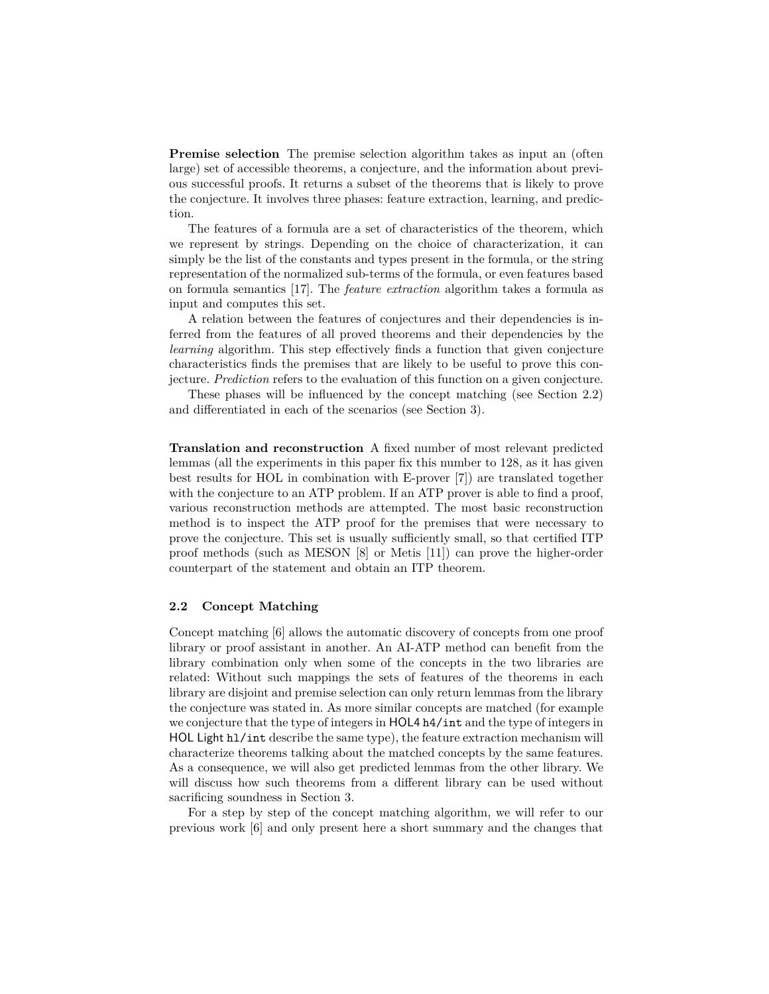**Premise selection** The premise selection algorithm takes as input an (often large) set of accessible theorems, a conjecture, and the information about previous successful proofs. It returns a subset of the theorems that is likely to prove the conjecture. It involves three phases: feature extraction, learning, and prediction.

The features of a formula are a set of characteristics of the theorem, which we represent by strings. Depending on the choice of characterization, it can simply be the list of the constants and types present in the formula, or the string representation of the normalized sub-terms of the formula, or even features based on formula semantics [17]. The *feature extraction* algorithm takes a formula as input and computes this set.

A relation between the features of conjectures and their dependencies is inferred from the features of all proved theorems and their dependencies by the *learning* algorithm. This step effectively finds a function that given conjecture characteristics finds the premises that are likely to be useful to prove this conjecture. *Prediction* refers to the evaluation of this function on a given conjecture.

These phases will be influenced by the concept matching (see Section 2.2) and differentiated in each of the scenarios (see Section 3).

**Translation and reconstruction** A fixed number of most relevant predicted lemmas (all the experiments in this paper fix this number to 128, as it has given best results for HOL in combination with E-prover [7]) are translated together with the conjecture to an ATP problem. If an ATP prover is able to find a proof, various reconstruction methods are attempted. The most basic reconstruction method is to inspect the ATP proof for the premises that were necessary to prove the conjecture. This set is usually sufficiently small, so that certified ITP proof methods (such as MESON [8] or Metis [11]) can prove the higher-order counterpart of the statement and obtain an ITP theorem.

### **2.2 Concept Matching**

Concept matching [6] allows the automatic discovery of concepts from one proof library or proof assistant in another. An AI-ATP method can benefit from the library combination only when some of the concepts in the two libraries are related: Without such mappings the sets of features of the theorems in each library are disjoint and premise selection can only return lemmas from the library the conjecture was stated in. As more similar concepts are matched (for example we conjecture that the type of integers in HOL4 h4/int and the type of integers in HOL Light hl/int describe the same type), the feature extraction mechanism will characterize theorems talking about the matched concepts by the same features. As a consequence, we will also get predicted lemmas from the other library. We will discuss how such theorems from a different library can be used without sacrificing soundness in Section 3.

For a step by step of the concept matching algorithm, we will refer to our previous work [6] and only present here a short summary and the changes that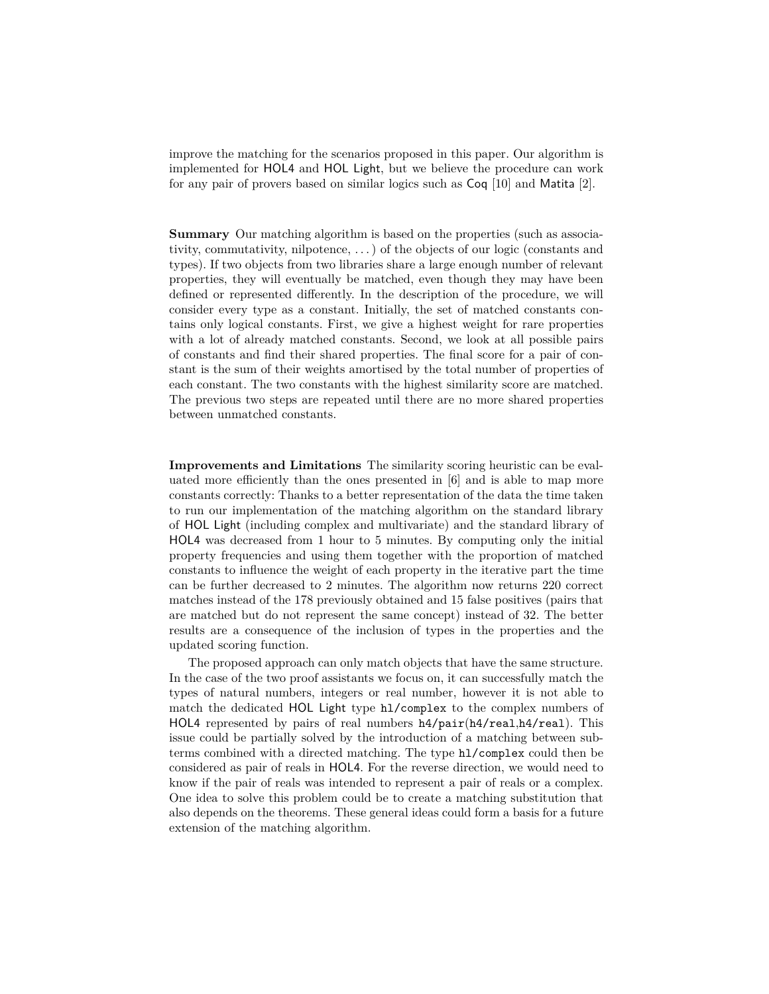improve the matching for the scenarios proposed in this paper. Our algorithm is implemented for HOL4 and HOL Light, but we believe the procedure can work for any pair of provers based on similar logics such as Coq [10] and Matita [2].

**Summary** Our matching algorithm is based on the properties (such as associativity, commutativity, nilpotence, . . . ) of the objects of our logic (constants and types). If two objects from two libraries share a large enough number of relevant properties, they will eventually be matched, even though they may have been defined or represented differently. In the description of the procedure, we will consider every type as a constant. Initially, the set of matched constants contains only logical constants. First, we give a highest weight for rare properties with a lot of already matched constants. Second, we look at all possible pairs of constants and find their shared properties. The final score for a pair of constant is the sum of their weights amortised by the total number of properties of each constant. The two constants with the highest similarity score are matched. The previous two steps are repeated until there are no more shared properties between unmatched constants.

**Improvements and Limitations** The similarity scoring heuristic can be evaluated more efficiently than the ones presented in [6] and is able to map more constants correctly: Thanks to a better representation of the data the time taken to run our implementation of the matching algorithm on the standard library of HOL Light (including complex and multivariate) and the standard library of HOL4 was decreased from 1 hour to 5 minutes. By computing only the initial property frequencies and using them together with the proportion of matched constants to influence the weight of each property in the iterative part the time can be further decreased to 2 minutes. The algorithm now returns 220 correct matches instead of the 178 previously obtained and 15 false positives (pairs that are matched but do not represent the same concept) instead of 32. The better results are a consequence of the inclusion of types in the properties and the updated scoring function.

The proposed approach can only match objects that have the same structure. In the case of the two proof assistants we focus on, it can successfully match the types of natural numbers, integers or real number, however it is not able to match the dedicated HOL Light type hl/complex to the complex numbers of HOL4 represented by pairs of real numbers h4/pair(h4/real,h4/real). This issue could be partially solved by the introduction of a matching between subterms combined with a directed matching. The type hl/complex could then be considered as pair of reals in HOL4. For the reverse direction, we would need to know if the pair of reals was intended to represent a pair of reals or a complex. One idea to solve this problem could be to create a matching substitution that also depends on the theorems. These general ideas could form a basis for a future extension of the matching algorithm.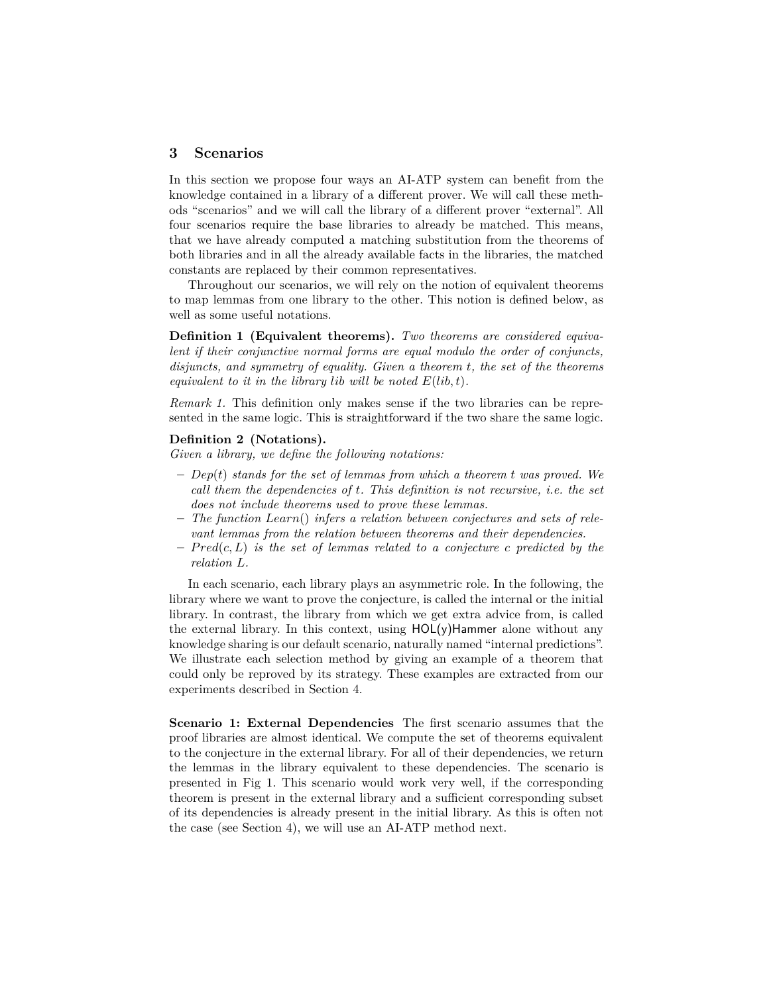## **3 Scenarios**

In this section we propose four ways an AI-ATP system can benefit from the knowledge contained in a library of a different prover. We will call these methods "scenarios" and we will call the library of a different prover "external". All four scenarios require the base libraries to already be matched. This means, that we have already computed a matching substitution from the theorems of both libraries and in all the already available facts in the libraries, the matched constants are replaced by their common representatives.

Throughout our scenarios, we will rely on the notion of equivalent theorems to map lemmas from one library to the other. This notion is defined below, as well as some useful notations.

**Definition 1 (Equivalent theorems).** *Two theorems are considered equivalent if their conjunctive normal forms are equal modulo the order of conjuncts, disjuncts, and symmetry of equality. Given a theorem t, the set of the theorems equivalent to it in the library lib will be noted*  $E(lib, t)$ *.* 

*Remark 1.* This definition only makes sense if the two libraries can be represented in the same logic. This is straightforward if the two share the same logic.

#### **Definition 2 (Notations).**

*Given a library, we define the following notations:*

- **–** *Dep*(*t*) *stands for the set of lemmas from which a theorem t was proved. We call them the dependencies of t. This definition is not recursive, i.e. the set does not include theorems used to prove these lemmas.*
- **–** *The function Learn*() *infers a relation between conjectures and sets of relevant lemmas from the relation between theorems and their dependencies.*
- **–** *P red*(*c, L*) *is the set of lemmas related to a conjecture c predicted by the relation L.*

In each scenario, each library plays an asymmetric role. In the following, the library where we want to prove the conjecture, is called the internal or the initial library. In contrast, the library from which we get extra advice from, is called the external library. In this context, using  $HOL(y)$ Hammer alone without any knowledge sharing is our default scenario, naturally named "internal predictions". We illustrate each selection method by giving an example of a theorem that could only be reproved by its strategy. These examples are extracted from our experiments described in Section 4.

**Scenario 1: External Dependencies** The first scenario assumes that the proof libraries are almost identical. We compute the set of theorems equivalent to the conjecture in the external library. For all of their dependencies, we return the lemmas in the library equivalent to these dependencies. The scenario is presented in Fig 1. This scenario would work very well, if the corresponding theorem is present in the external library and a sufficient corresponding subset of its dependencies is already present in the initial library. As this is often not the case (see Section 4), we will use an AI-ATP method next.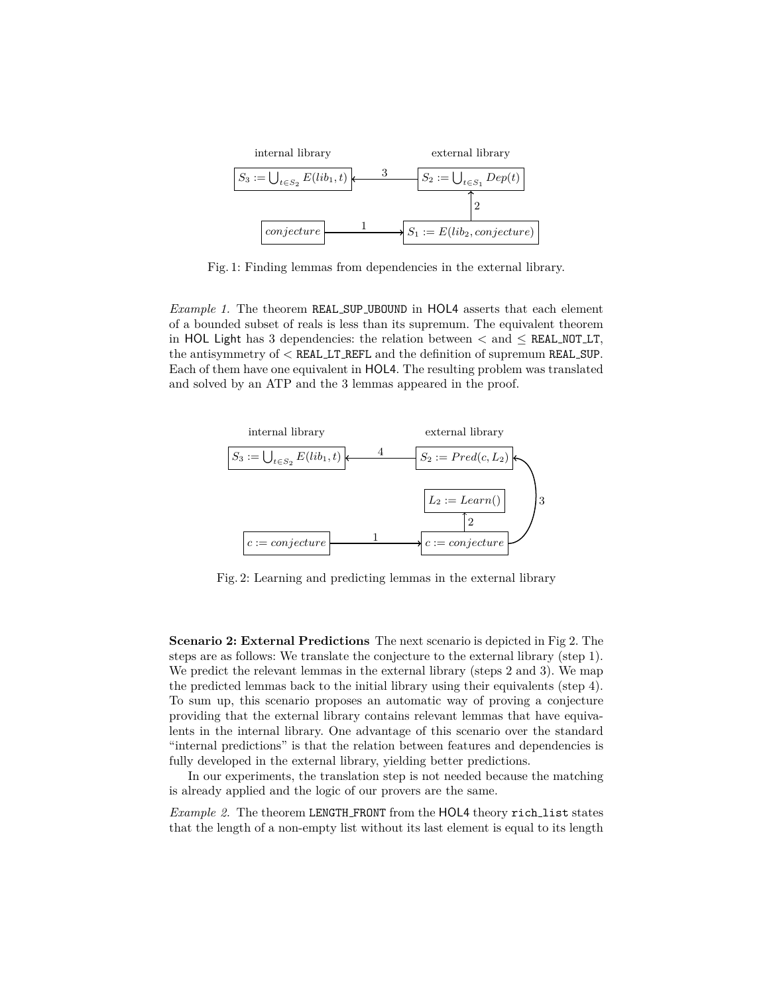

Fig. 1: Finding lemmas from dependencies in the external library.

*Example 1.* The theorem REAL SUP UBOUND in HOL4 asserts that each element of a bounded subset of reals is less than its supremum. The equivalent theorem in HOL Light has 3 dependencies: the relation between  $\lt$  and  $\leq$  REAL NOT LT, the antisymmetry of *<* REAL LT REFL and the definition of supremum REAL SUP. Each of them have one equivalent in HOL4. The resulting problem was translated and solved by an ATP and the 3 lemmas appeared in the proof.



Fig. 2: Learning and predicting lemmas in the external library

**Scenario 2: External Predictions** The next scenario is depicted in Fig 2. The steps are as follows: We translate the conjecture to the external library (step 1). We predict the relevant lemmas in the external library (steps 2 and 3). We map the predicted lemmas back to the initial library using their equivalents (step 4). To sum up, this scenario proposes an automatic way of proving a conjecture providing that the external library contains relevant lemmas that have equivalents in the internal library. One advantage of this scenario over the standard "internal predictions" is that the relation between features and dependencies is fully developed in the external library, yielding better predictions.

In our experiments, the translation step is not needed because the matching is already applied and the logic of our provers are the same.

*Example 2.* The theorem LENGTH\_FRONT from the HOL4 theory rich\_list states that the length of a non-empty list without its last element is equal to its length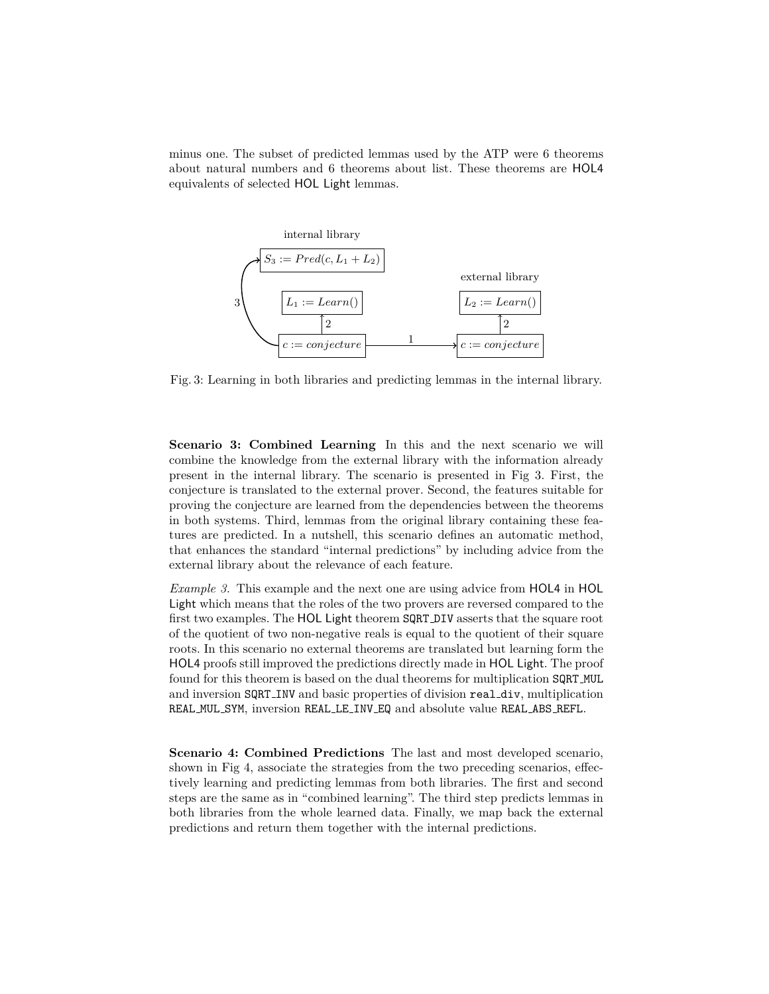minus one. The subset of predicted lemmas used by the ATP were 6 theorems about natural numbers and 6 theorems about list. These theorems are HOL4 equivalents of selected HOL Light lemmas.



Fig. 3: Learning in both libraries and predicting lemmas in the internal library.

**Scenario 3: Combined Learning** In this and the next scenario we will combine the knowledge from the external library with the information already present in the internal library. The scenario is presented in Fig 3. First, the conjecture is translated to the external prover. Second, the features suitable for proving the conjecture are learned from the dependencies between the theorems in both systems. Third, lemmas from the original library containing these features are predicted. In a nutshell, this scenario defines an automatic method, that enhances the standard "internal predictions" by including advice from the external library about the relevance of each feature.

*Example 3.* This example and the next one are using advice from HOL4 in HOL Light which means that the roles of the two provers are reversed compared to the first two examples. The HOL Light theorem SQRT DIV asserts that the square root of the quotient of two non-negative reals is equal to the quotient of their square roots. In this scenario no external theorems are translated but learning form the HOL4 proofs still improved the predictions directly made in HOL Light. The proof found for this theorem is based on the dual theorems for multiplication SQRT MUL and inversion SQRT INV and basic properties of division real div, multiplication REAL MUL SYM, inversion REAL LE INV EQ and absolute value REAL ABS REFL.

**Scenario 4: Combined Predictions** The last and most developed scenario, shown in Fig 4, associate the strategies from the two preceding scenarios, effectively learning and predicting lemmas from both libraries. The first and second steps are the same as in "combined learning". The third step predicts lemmas in both libraries from the whole learned data. Finally, we map back the external predictions and return them together with the internal predictions.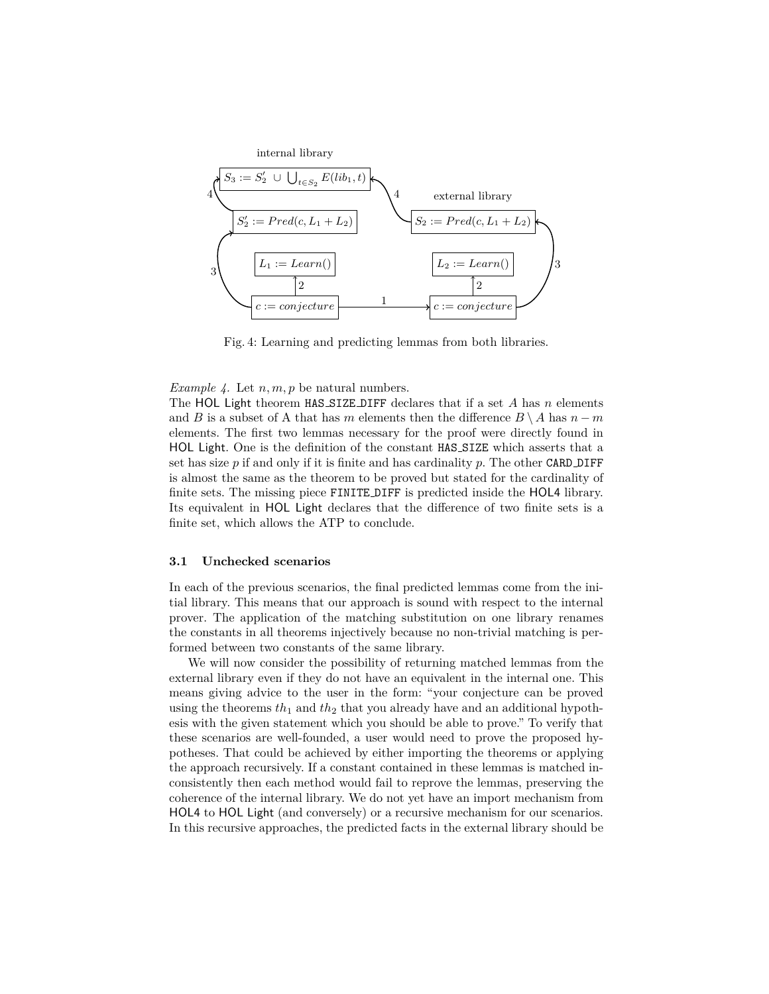

Fig. 4: Learning and predicting lemmas from both libraries.

#### *Example 4.* Let *n, m, p* be natural numbers.

The HOL Light theorem HAS SIZE DIFF declares that if a set *A* has *n* elements and *B* is a subset of A that has *m* elements then the difference  $B \setminus A$  has  $n - m$ elements. The first two lemmas necessary for the proof were directly found in HOL Light. One is the definition of the constant HAS SIZE which asserts that a set has size  $p$  if and only if it is finite and has cardinality  $p$ . The other CARD DIFF is almost the same as the theorem to be proved but stated for the cardinality of finite sets. The missing piece FINITE DIFF is predicted inside the HOL4 library. Its equivalent in HOL Light declares that the difference of two finite sets is a finite set, which allows the ATP to conclude.

#### **3.1 Unchecked scenarios**

In each of the previous scenarios, the final predicted lemmas come from the initial library. This means that our approach is sound with respect to the internal prover. The application of the matching substitution on one library renames the constants in all theorems injectively because no non-trivial matching is performed between two constants of the same library.

We will now consider the possibility of returning matched lemmas from the external library even if they do not have an equivalent in the internal one. This means giving advice to the user in the form: "your conjecture can be proved using the theorems  $th_1$  and  $th_2$  that you already have and an additional hypothesis with the given statement which you should be able to prove." To verify that these scenarios are well-founded, a user would need to prove the proposed hypotheses. That could be achieved by either importing the theorems or applying the approach recursively. If a constant contained in these lemmas is matched inconsistently then each method would fail to reprove the lemmas, preserving the coherence of the internal library. We do not yet have an import mechanism from HOL4 to HOL Light (and conversely) or a recursive mechanism for our scenarios. In this recursive approaches, the predicted facts in the external library should be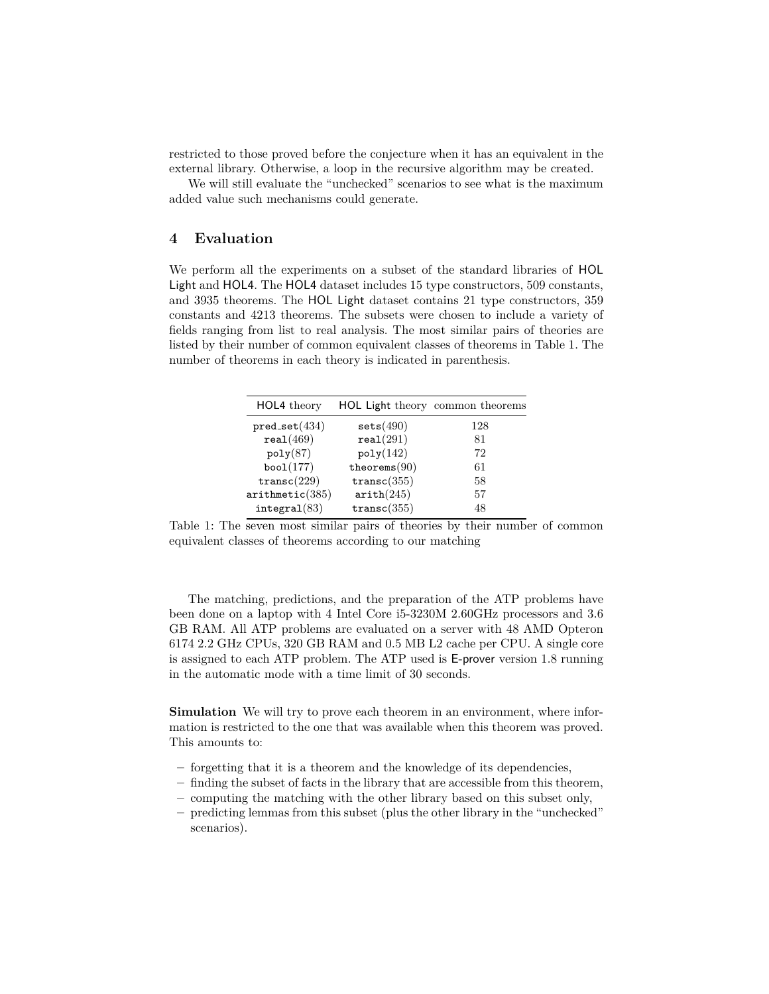restricted to those proved before the conjecture when it has an equivalent in the external library. Otherwise, a loop in the recursive algorithm may be created.

We will still evaluate the "unchecked" scenarios to see what is the maximum added value such mechanisms could generate.

## **4 Evaluation**

We perform all the experiments on a subset of the standard libraries of HOL Light and HOL4. The HOL4 dataset includes 15 type constructors, 509 constants, and 3935 theorems. The HOL Light dataset contains 21 type constructors, 359 constants and 4213 theorems. The subsets were chosen to include a variety of fields ranging from list to real analysis. The most similar pairs of theories are listed by their number of common equivalent classes of theorems in Table 1. The number of theorems in each theory is indicated in parenthesis.

| HOL4 theory     | <b>HOL Light theory common theorems</b> |     |  |  |
|-----------------|-----------------------------------------|-----|--|--|
| $pred_set(434)$ | sets(490)                               | 128 |  |  |
| real(469)       | real(291)                               | 81  |  |  |
| poly(87)        | poly(142)                               | 72  |  |  |
| boo $1(177)$    | theorems $(90)$                         | 61  |  |  |
| transc(229)     | transc(355)                             | 58  |  |  |
| arithmetic(385) | arith(245)                              | 57  |  |  |
| integral(83)    | transc(355)                             | 48  |  |  |
|                 |                                         |     |  |  |

Table 1: The seven most similar pairs of theories by their number of common equivalent classes of theorems according to our matching

The matching, predictions, and the preparation of the ATP problems have been done on a laptop with 4 Intel Core i5-3230M 2.60GHz processors and 3.6 GB RAM. All ATP problems are evaluated on a server with 48 AMD Opteron 6174 2.2 GHz CPUs, 320 GB RAM and 0.5 MB L2 cache per CPU. A single core is assigned to each ATP problem. The ATP used is E-prover version 1.8 running in the automatic mode with a time limit of 30 seconds.

**Simulation** We will try to prove each theorem in an environment, where information is restricted to the one that was available when this theorem was proved. This amounts to:

- **–** forgetting that it is a theorem and the knowledge of its dependencies,
- **–** finding the subset of facts in the library that are accessible from this theorem,
- **–** computing the matching with the other library based on this subset only,
- **–** predicting lemmas from this subset (plus the other library in the "unchecked" scenarios).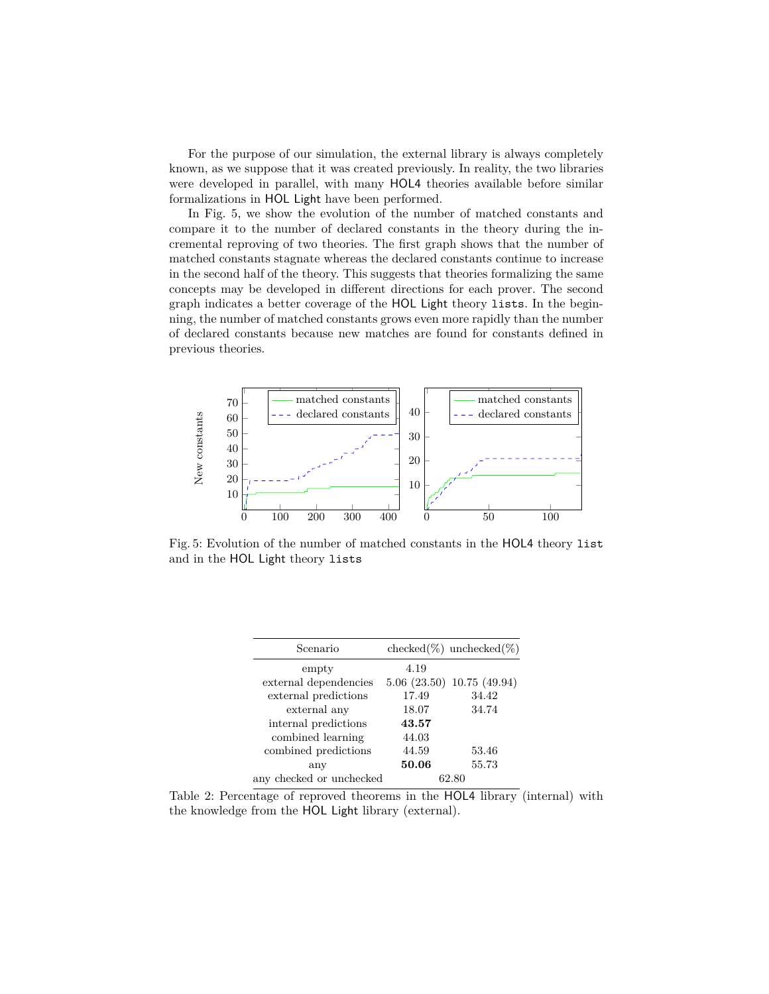For the purpose of our simulation, the external library is always completely known, as we suppose that it was created previously. In reality, the two libraries were developed in parallel, with many HOL4 theories available before similar formalizations in HOL Light have been performed.

In Fig. 5, we show the evolution of the number of matched constants and compare it to the number of declared constants in the theory during the incremental reproving of two theories. The first graph shows that the number of matched constants stagnate whereas the declared constants continue to increase in the second half of the theory. This suggests that theories formalizing the same concepts may be developed in different directions for each prover. The second graph indicates a better coverage of the HOL Light theory lists. In the beginning, the number of matched constants grows even more rapidly than the number of declared constants because new matches are found for constants defined in previous theories.



Fig. 5: Evolution of the number of matched constants in the HOL4 theory list and in the HOL Light theory lists

| Scenario                 |       | checked $(\%)$ unchecked $(\%)$    |
|--------------------------|-------|------------------------------------|
| empty                    | 4.19  |                                    |
| external dependencies    |       | $5.06$ $(23.50)$ $10.75$ $(49.94)$ |
| external predictions     | 17.49 | 34.42                              |
| external any             | 18.07 | 34.74                              |
| internal predictions     | 43.57 |                                    |
| combined learning        | 44.03 |                                    |
| combined predictions     | 44.59 | 53.46                              |
| any                      | 50.06 | 55.73                              |
| any checked or unchecked |       | 62. SA                             |

Table 2: Percentage of reproved theorems in the HOL4 library (internal) with the knowledge from the HOL Light library (external).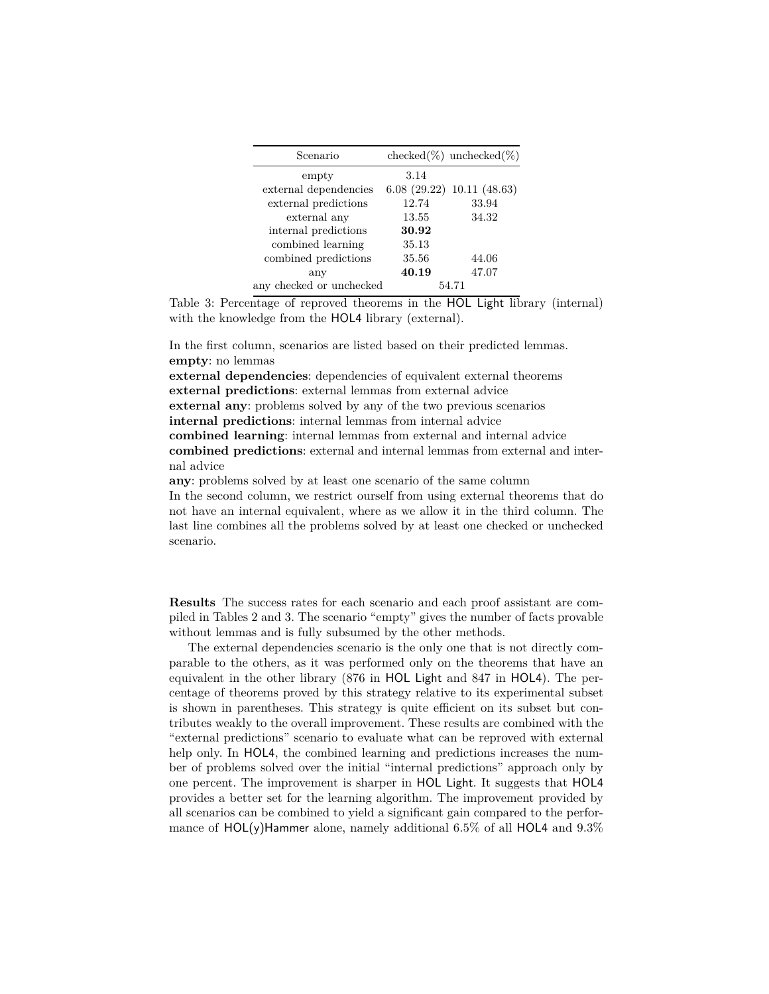| Scenario                 |       | $checked(\%)$ unchecked $(\%)$ |
|--------------------------|-------|--------------------------------|
| empty                    | 3.14  |                                |
| external dependencies    |       | 6.08(29.22)10.11(48.63)        |
| external predictions     | 12.74 | 33.94                          |
| external any             | 13.55 | 34.32                          |
| internal predictions     | 30.92 |                                |
| combined learning        | 35.13 |                                |
| combined predictions     | 35.56 | 44.06                          |
| any                      | 40.19 | 47.07                          |
| any checked or unchecked |       | 54.71                          |

Table 3: Percentage of reproved theorems in the HOL Light library (internal) with the knowledge from the HOL4 library (external).

In the first column, scenarios are listed based on their predicted lemmas. **empty**: no lemmas

**external dependencies**: dependencies of equivalent external theorems **external predictions**: external lemmas from external advice **external any**: problems solved by any of the two previous scenarios **internal predictions**: internal lemmas from internal advice **combined learning**: internal lemmas from external and internal advice **combined predictions**: external and internal lemmas from external and internal advice

**any**: problems solved by at least one scenario of the same column In the second column, we restrict ourself from using external theorems that do not have an internal equivalent, where as we allow it in the third column. The last line combines all the problems solved by at least one checked or unchecked scenario.

**Results** The success rates for each scenario and each proof assistant are compiled in Tables 2 and 3. The scenario "empty" gives the number of facts provable without lemmas and is fully subsumed by the other methods.

The external dependencies scenario is the only one that is not directly comparable to the others, as it was performed only on the theorems that have an equivalent in the other library (876 in HOL Light and 847 in HOL4). The percentage of theorems proved by this strategy relative to its experimental subset is shown in parentheses. This strategy is quite efficient on its subset but contributes weakly to the overall improvement. These results are combined with the "external predictions" scenario to evaluate what can be reproved with external help only. In HOL4, the combined learning and predictions increases the number of problems solved over the initial "internal predictions" approach only by one percent. The improvement is sharper in HOL Light. It suggests that HOL4 provides a better set for the learning algorithm. The improvement provided by all scenarios can be combined to yield a significant gain compared to the performance of  $HOL(y)$ Hammer alone, namely additional 6.5% of all HOL4 and 9.3%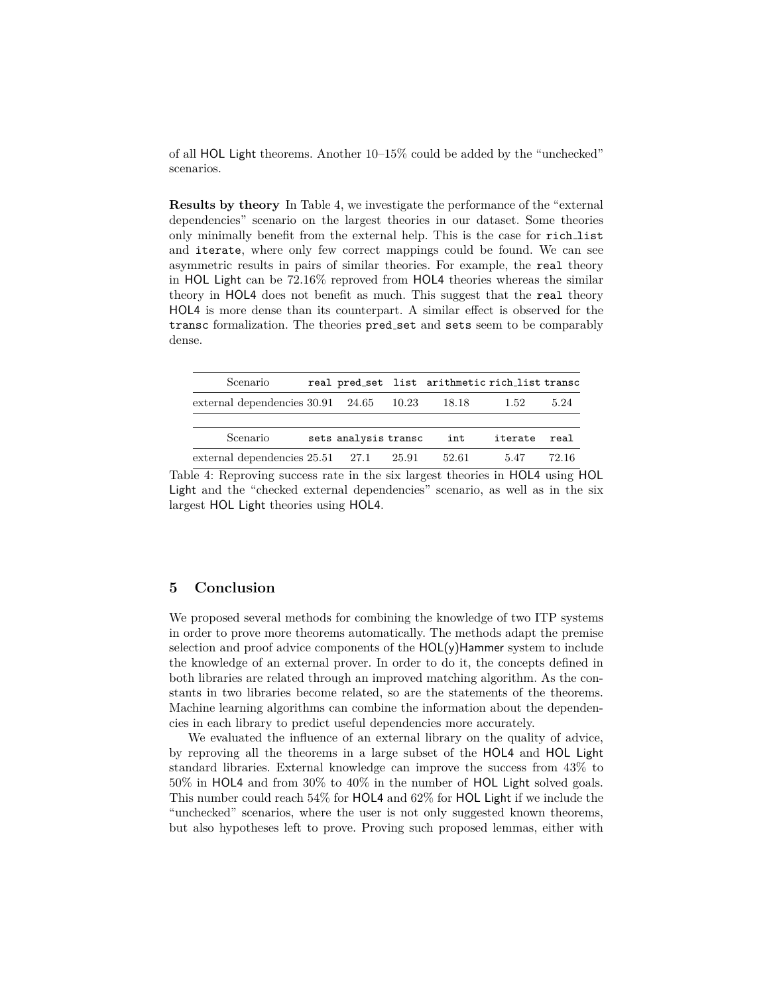of all HOL Light theorems. Another 10–15% could be added by the "unchecked" scenarios.

**Results by theory** In Table 4, we investigate the performance of the "external dependencies" scenario on the largest theories in our dataset. Some theories only minimally benefit from the external help. This is the case for rich list and iterate, where only few correct mappings could be found. We can see asymmetric results in pairs of similar theories. For example, the real theory in HOL Light can be 72.16% reproved from HOL4 theories whereas the similar theory in HOL4 does not benefit as much. This suggest that the real theory HOL4 is more dense than its counterpart. A similar effect is observed for the transc formalization. The theories pred set and sets seem to be comparably dense.

| Scenario                                              |                      | real pred_set list arithmetic rich_list transc |         |       |
|-------------------------------------------------------|----------------------|------------------------------------------------|---------|-------|
| external dependencies $30.91 \quad 24.65 \quad 10.23$ |                      | 18.18                                          | 1.52    | 5.24  |
|                                                       |                      |                                                |         |       |
| Scenario                                              | sets analysis transc | int                                            | iterate | real  |
| external dependencies $25.51$ $27.1$ $25.91$          |                      | 52.61                                          | 5.47    | 72.16 |

Table 4: Reproving success rate in the six largest theories in HOL4 using HOL Light and the "checked external dependencies" scenario, as well as in the six largest HOL Light theories using HOL4.

## **5 Conclusion**

We proposed several methods for combining the knowledge of two ITP systems in order to prove more theorems automatically. The methods adapt the premise selection and proof advice components of the  $HOL(y)$ Hammer system to include the knowledge of an external prover. In order to do it, the concepts defined in both libraries are related through an improved matching algorithm. As the constants in two libraries become related, so are the statements of the theorems. Machine learning algorithms can combine the information about the dependencies in each library to predict useful dependencies more accurately.

We evaluated the influence of an external library on the quality of advice, by reproving all the theorems in a large subset of the HOL4 and HOL Light standard libraries. External knowledge can improve the success from 43% to 50% in HOL4 and from 30% to 40% in the number of HOL Light solved goals. This number could reach 54% for HOL4 and 62% for HOL Light if we include the "unchecked" scenarios, where the user is not only suggested known theorems, but also hypotheses left to prove. Proving such proposed lemmas, either with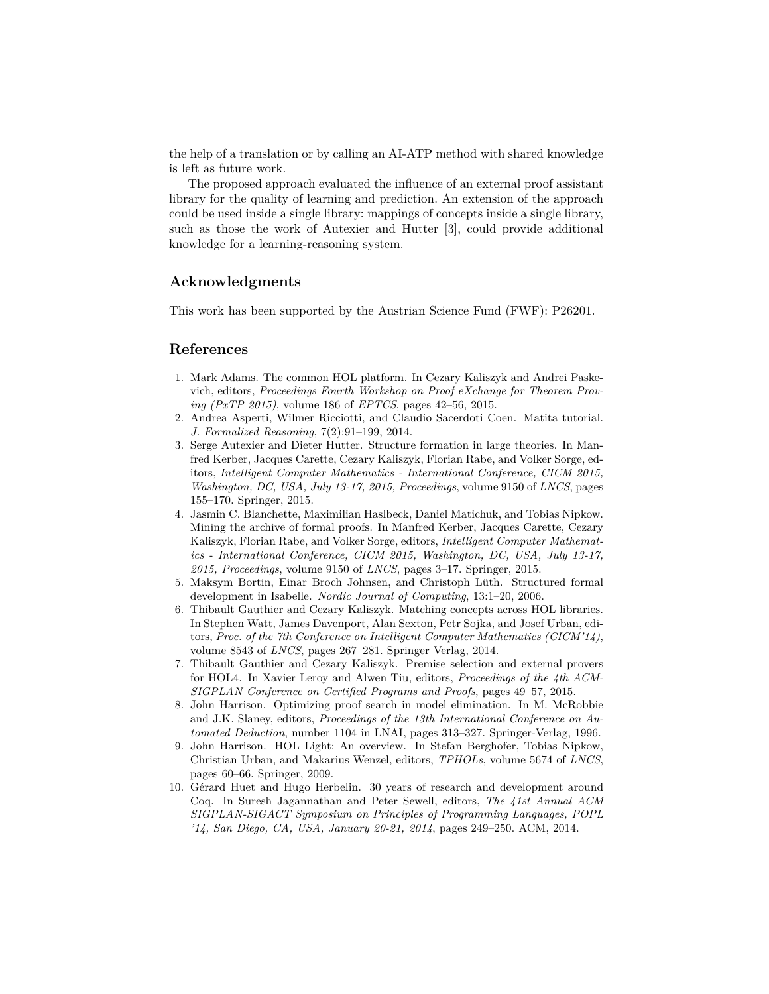the help of a translation or by calling an AI-ATP method with shared knowledge is left as future work.

The proposed approach evaluated the influence of an external proof assistant library for the quality of learning and prediction. An extension of the approach could be used inside a single library: mappings of concepts inside a single library, such as those the work of Autexier and Hutter [3], could provide additional knowledge for a learning-reasoning system.

## **Acknowledgments**

This work has been supported by the Austrian Science Fund (FWF): P26201.

## **References**

- 1. Mark Adams. The common HOL platform. In Cezary Kaliszyk and Andrei Paskevich, editors, *Proceedings Fourth Workshop on Proof eXchange for Theorem Proving (PxTP 2015)*, volume 186 of *EPTCS*, pages 42–56, 2015.
- 2. Andrea Asperti, Wilmer Ricciotti, and Claudio Sacerdoti Coen. Matita tutorial. *J. Formalized Reasoning*, 7(2):91–199, 2014.
- 3. Serge Autexier and Dieter Hutter. Structure formation in large theories. In Manfred Kerber, Jacques Carette, Cezary Kaliszyk, Florian Rabe, and Volker Sorge, editors, *Intelligent Computer Mathematics - International Conference, CICM 2015, Washington, DC, USA, July 13-17, 2015, Proceedings*, volume 9150 of *LNCS*, pages 155–170. Springer, 2015.
- 4. Jasmin C. Blanchette, Maximilian Haslbeck, Daniel Matichuk, and Tobias Nipkow. Mining the archive of formal proofs. In Manfred Kerber, Jacques Carette, Cezary Kaliszyk, Florian Rabe, and Volker Sorge, editors, *Intelligent Computer Mathematics - International Conference, CICM 2015, Washington, DC, USA, July 13-17, 2015, Proceedings*, volume 9150 of *LNCS*, pages 3–17. Springer, 2015.
- 5. Maksym Bortin, Einar Broch Johnsen, and Christoph Lüth. Structured formal development in Isabelle. *Nordic Journal of Computing*, 13:1–20, 2006.
- 6. Thibault Gauthier and Cezary Kaliszyk. Matching concepts across HOL libraries. In Stephen Watt, James Davenport, Alan Sexton, Petr Sojka, and Josef Urban, editors, *Proc. of the 7th Conference on Intelligent Computer Mathematics (CICM'14)*, volume 8543 of *LNCS*, pages 267–281. Springer Verlag, 2014.
- 7. Thibault Gauthier and Cezary Kaliszyk. Premise selection and external provers for HOL4. In Xavier Leroy and Alwen Tiu, editors, *Proceedings of the 4th ACM-SIGPLAN Conference on Certified Programs and Proofs*, pages 49–57, 2015.
- 8. John Harrison. Optimizing proof search in model elimination. In M. McRobbie and J.K. Slaney, editors, *Proceedings of the 13th International Conference on Automated Deduction*, number 1104 in LNAI, pages 313–327. Springer-Verlag, 1996.
- 9. John Harrison. HOL Light: An overview. In Stefan Berghofer, Tobias Nipkow, Christian Urban, and Makarius Wenzel, editors, *TPHOLs*, volume 5674 of *LNCS*, pages 60–66. Springer, 2009.
- 10. Gérard Huet and Hugo Herbelin. 30 years of research and development around Coq. In Suresh Jagannathan and Peter Sewell, editors, *The 41st Annual ACM SIGPLAN-SIGACT Symposium on Principles of Programming Languages, POPL '14, San Diego, CA, USA, January 20-21, 2014*, pages 249–250. ACM, 2014.